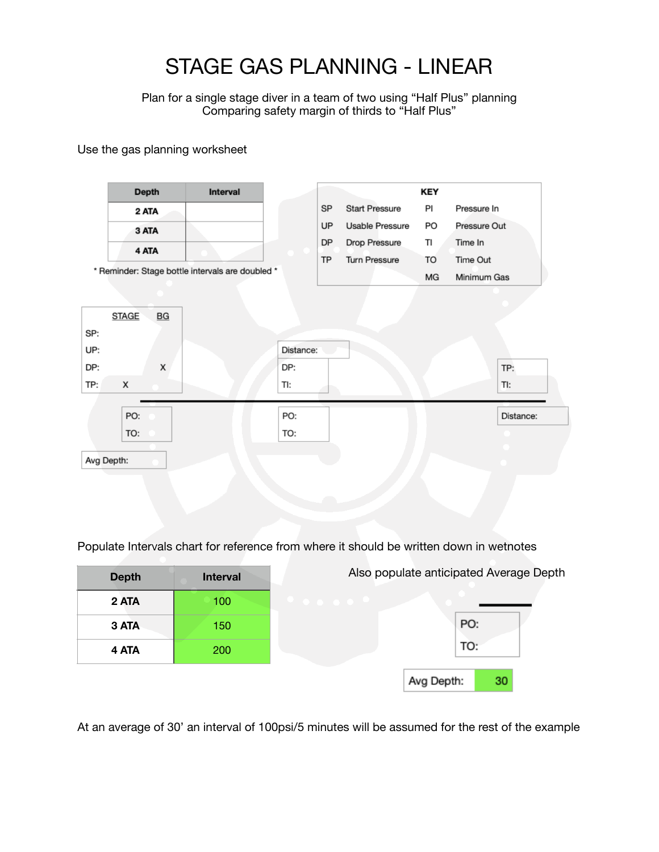# STAGE GAS PLANNING - LINEAR

Plan for a single stage diver in a team of two using "Half Plus" planning Comparing safety margin of thirds to "Half Plus"

Use the gas planning worksheet

|                   | <b>Depth</b> |    | Interval                                         |           |  | KEY                         |
|-------------------|--------------|----|--------------------------------------------------|-----------|--|-----------------------------|
|                   | 2 ATA        |    |                                                  | SP        |  | <b>Start Pressure</b><br>PI |
|                   | 3 ATA        |    |                                                  | <b>UP</b> |  | Usable Pressure<br>PO       |
|                   | 4 ATA        |    |                                                  | DP        |  | TI<br>Drop Pressure         |
|                   |              |    |                                                  | <b>TP</b> |  | Turn Pressure<br>TO         |
|                   |              |    | * Reminder: Stage bottle intervals are doubled * |           |  | МG                          |
|                   |              |    |                                                  |           |  |                             |
|                   | <b>STAGE</b> | BG |                                                  |           |  |                             |
|                   |              |    |                                                  |           |  |                             |
|                   |              |    |                                                  |           |  |                             |
|                   |              |    |                                                  | Distance: |  |                             |
| SP:<br>UP:<br>DP: |              | x  |                                                  | DP:       |  |                             |
|                   | x            |    |                                                  | TI:       |  |                             |
|                   |              |    |                                                  |           |  |                             |
| TP:               | PO:          |    |                                                  | PO:       |  |                             |

Populate Intervals chart for reference from where it should be written down in wetnotes

| <b>Depth</b> | <b>Interval</b> | Also populate anticipated Average Depth |     |    |  |
|--------------|-----------------|-----------------------------------------|-----|----|--|
| 2 ATA        | 100             | .                                       |     |    |  |
| 3 ATA        | 150             |                                         | PO: |    |  |
| 4 ATA        | <b>200</b>      |                                         | TO: |    |  |
|              |                 | Avg Depth:                              |     | 30 |  |

At an average of 30' an interval of 100psi/5 minutes will be assumed for the rest of the example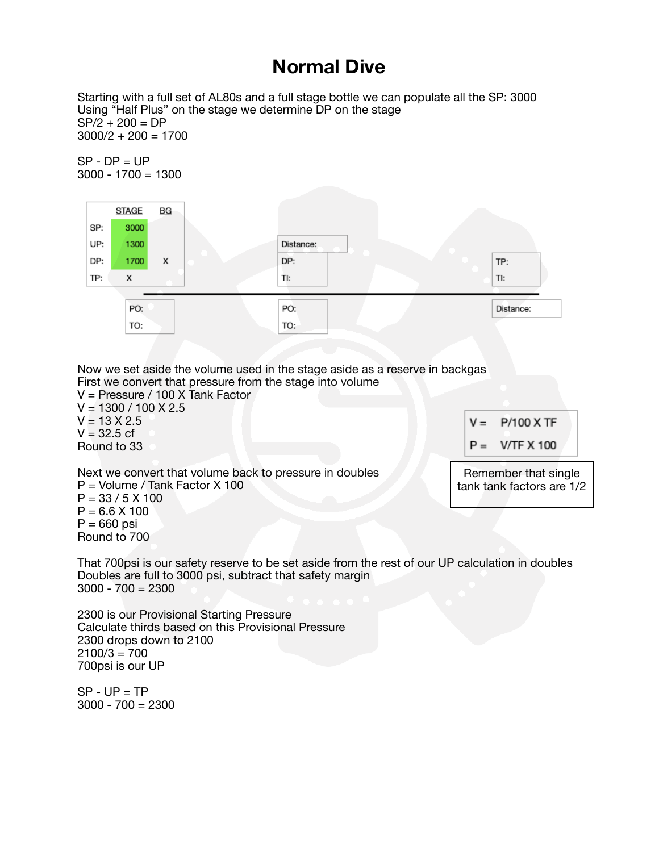#### **Normal Dive**

Starting with a full set of AL80s and a full stage bottle we can populate all the SP: 3000 Using "Half Plus" on the stage we determine DP on the stage  $SP/2 + 200 = DP$  $3000/2 + 200 = 1700$ 

 $SP - DP = UP$  $3000 - 1700 = 1300$ 



Now we set aside the volume used in the stage aside as a reserve in backgas First we convert that pressure from the stage into volume

V = Pressure / 100 X Tank Factor  $V = 1300 / 100 X 2.5$  $V = 13 X 2.5$  $V = 32.5$  cf Round to 33

 $V = P/100$  X TF

 $P = V/TF X 100$ 

Next we convert that volume back to pressure in doubles P = Volume / Tank Factor X 100  $P = 33 / 5 X 100$  $P = 6.6 X 100$  $P = 660$  psi

Remember that single tank tank factors are 1/2

That 700psi is our safety reserve to be set aside from the rest of our UP calculation in doubles Doubles are full to 3000 psi, subtract that safety margin  $3000 - 700 = 2300$ 

2300 is our Provisional Starting Pressure Calculate thirds based on this Provisional Pressure 2300 drops down to 2100  $2100/3 = 700$ 700psi is our UP

 $SP - UP = TP$ 3000 - 700 = 2300

Round to 700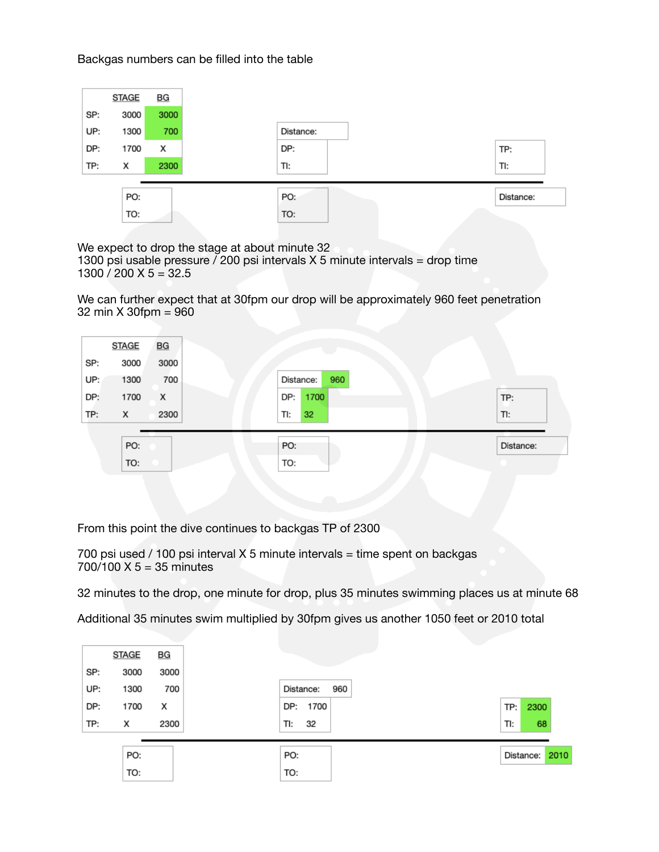Backgas numbers can be filled into the table



We expect to drop the stage at about minute 32 1300 psi usable pressure  $/$  200 psi intervals X 5 minute intervals = drop time  $1300 / 200 X 5 = 32.5$ 

We can further expect that at 30fpm our drop will be approximately 960 feet penetration 32 min X 30fpm = 960

| <b>STAGE</b> | BG   |
|--------------|------|
| 3000         | 3000 |
| 1300         | 700  |
| 1700         | x    |
| х            | 2300 |
|              |      |
| TO:          |      |
|              | PO:  |

From this point the dive continues to backgas TP of 2300

700 psi used / 100 psi interval X 5 minute intervals = time spent on backgas 700/100 X 5 = 35 minutes

32 minutes to the drop, one minute for drop, plus 35 minutes swimming places us at minute 68

Additional 35 minutes swim multiplied by 30fpm gives us another 1050 feet or 2010 total

|     | <b>STAGE</b> | BG   |                  |     |
|-----|--------------|------|------------------|-----|
| SP: | 3000         | 3000 |                  |     |
| UP: | 1300         | 700  | Distance:<br>960 |     |
| DP: | 1700         | х    | DP: 1700         | TP: |
| TP: | х            | 2300 | TI:<br>32        | TI: |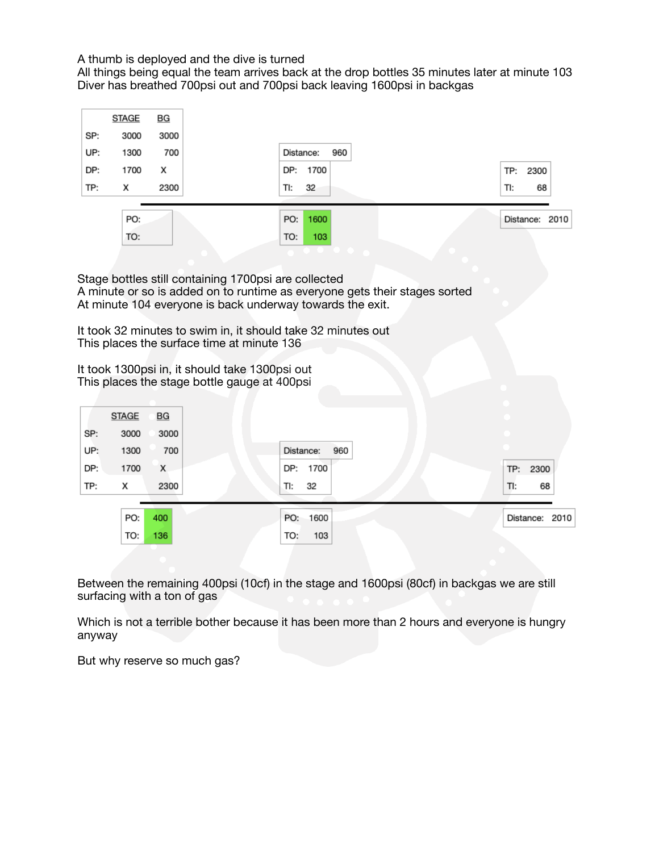A thumb is deployed and the dive is turned

All things being equal the team arrives back at the drop bottles 35 minutes later at minute 103 Diver has breathed 700psi out and 700psi back leaving 1600psi in backgas



Stage bottles still containing 1700psi are collected A minute or so is added on to runtime as everyone gets their stages sorted At minute 104 everyone is back underway towards the exit.

It took 32 minutes to swim in, it should take 32 minutes out This places the surface time at minute 136

It took 1300psi in, it should take 1300psi out This places the stage bottle gauge at 400psi

| 3000<br>3000<br>700<br>Distance:<br>960<br>1300 |     | <b>STAGE</b> | BG  |            |                |
|-------------------------------------------------|-----|--------------|-----|------------|----------------|
|                                                 | SP: |              |     |            |                |
|                                                 | UP: |              |     |            |                |
| DP:<br>DP: 1700<br>1700<br>X                    |     |              |     |            | TP: 2300       |
| TP:<br>2300<br>TI:<br>32<br>х                   |     |              |     |            | TI:            |
|                                                 |     | PO:          | 400 | PO: 1600   | Distance: 2010 |
|                                                 |     | TO:          | 136 | 103<br>TO: |                |

Between the remaining 400psi (10cf) in the stage and 1600psi (80cf) in backgas we are still surfacing with a ton of gas

Which is not a terrible bother because it has been more than 2 hours and everyone is hungry anyway

But why reserve so much gas?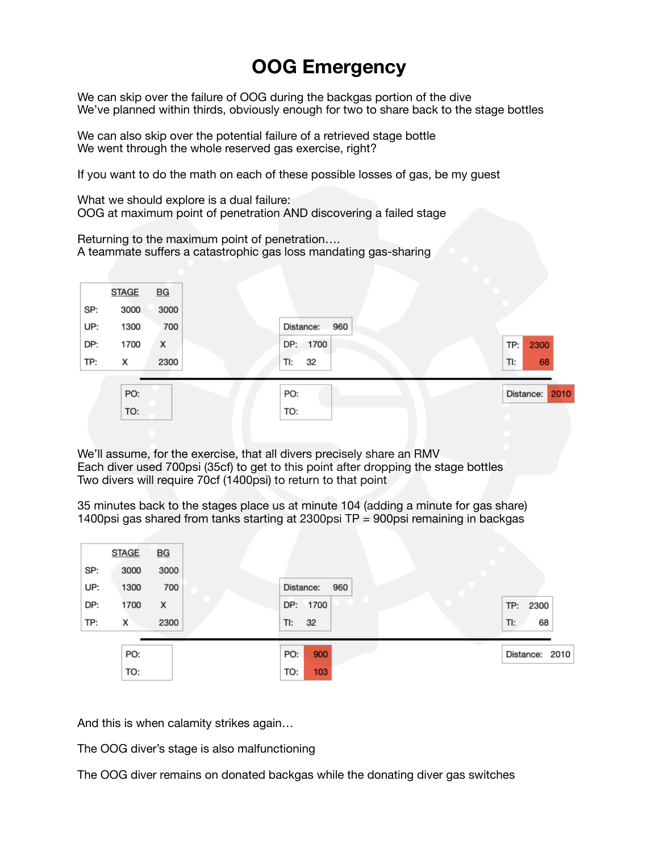### **OOG Emergency**

We can skip over the failure of OOG during the backgas portion of the dive We've planned within thirds, obviously enough for two to share back to the stage bottles

We can also skip over the potential failure of a retrieved stage bottle We went through the whole reserved gas exercise, right?

If you want to do the math on each of these possible losses of gas, be my guest

What we should explore is a dual failure: OOG at maximum point of penetration AND discovering a failed stage

Returning to the maximum point of penetration…. A teammate suffers a catastrophic gas loss mandating gas-sharing



We'll assume, for the exercise, that all divers precisely share an RMV Each diver used 700psi (35cf) to get to this point after dropping the stage bottles Two divers will require 70cf (1400psi) to return to that point

35 minutes back to the stages place us at minute 104 (adding a minute for gas share) 1400psi gas shared from tanks starting at 2300psi TP = 900psi remaining in backgas



And this is when calamity strikes again…

The OOG diver's stage is also malfunctioning

The OOG diver remains on donated backgas while the donating diver gas switches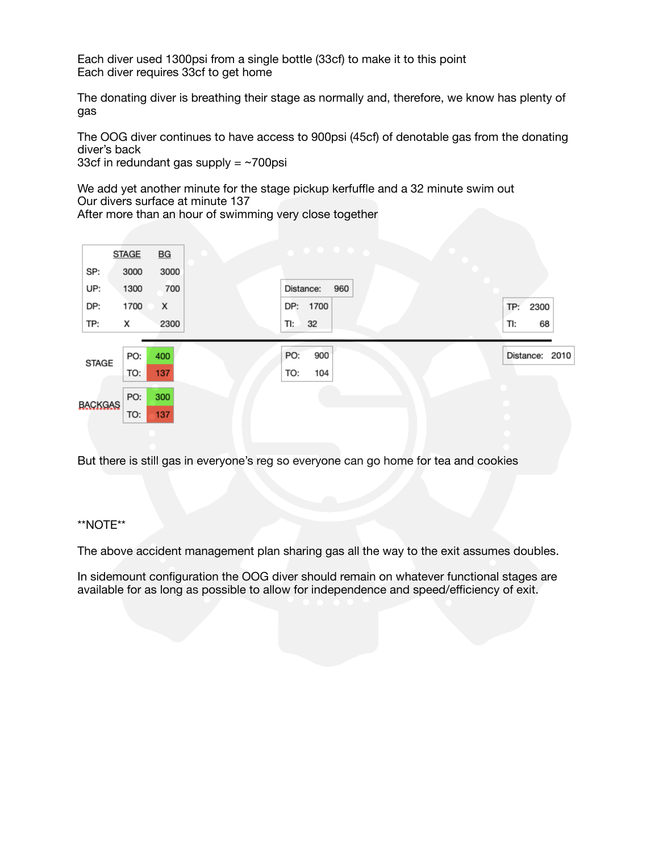Each diver used 1300psi from a single bottle (33cf) to make it to this point Each diver requires 33cf to get home

The donating diver is breathing their stage as normally and, therefore, we know has plenty of gas

The OOG diver continues to have access to 900psi (45cf) of denotable gas from the donating diver's back

33cf in redundant gas supply  $= \sim 700$ psi

We add yet another minute for the stage pickup kerfuffle and a 32 minute swim out Our divers surface at minute 137

After more than an hour of swimming very close together



But there is still gas in everyone's reg so everyone can go home for tea and cookies

#### \*\*NOTE\*\*

The above accident management plan sharing gas all the way to the exit assumes doubles.

In sidemount configuration the OOG diver should remain on whatever functional stages are available for as long as possible to allow for independence and speed/efficiency of exit.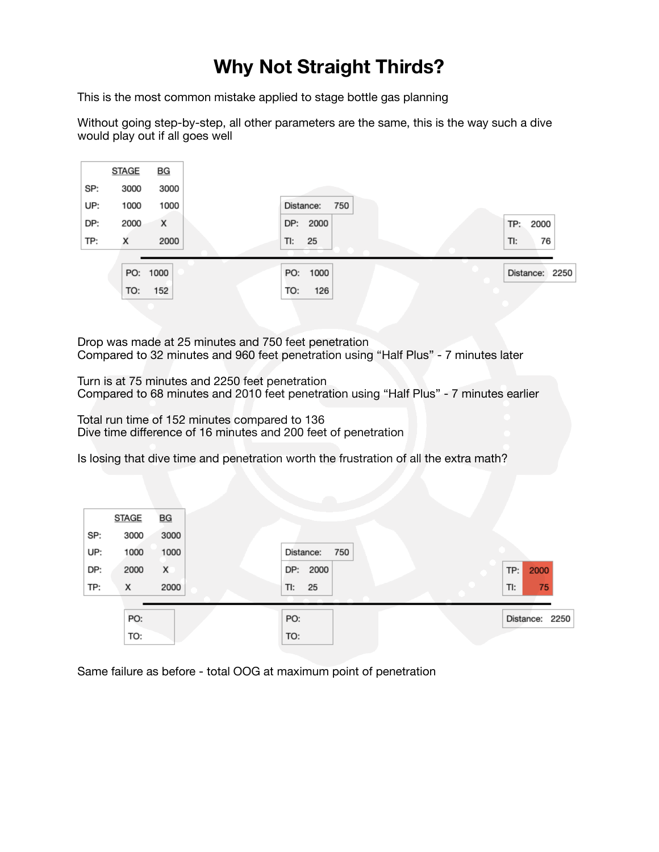## **Why Not Straight Thirds?**

This is the most common mistake applied to stage bottle gas planning

Without going step-by-step, all other parameters are the same, this is the way such a dive would play out if all goes well



Drop was made at 25 minutes and 750 feet penetration Compared to 32 minutes and 960 feet penetration using "Half Plus" - 7 minutes later

Turn is at 75 minutes and 2250 feet penetration Compared to 68 minutes and 2010 feet penetration using "Half Plus" - 7 minutes earlier

Total run time of 152 minutes compared to 136 Dive time difference of 16 minutes and 200 feet of penetration

Is losing that dive time and penetration worth the frustration of all the extra math?

|     | <b>STAGE</b> | BG   |                  |                |
|-----|--------------|------|------------------|----------------|
| SP: | 3000         | 3000 |                  |                |
| UP: | 1000         | 1000 | 750<br>Distance: |                |
| DP: | 2000         | X    | DP: 2000         | 2000<br>TP:    |
| TP: | х            | 2000 | 25<br>TI:        | TI:<br>75      |
|     |              |      |                  |                |
|     | PO:          |      | PO:              | Distance: 2250 |
|     | TO:          |      | TO:              |                |

Same failure as before - total OOG at maximum point of penetration